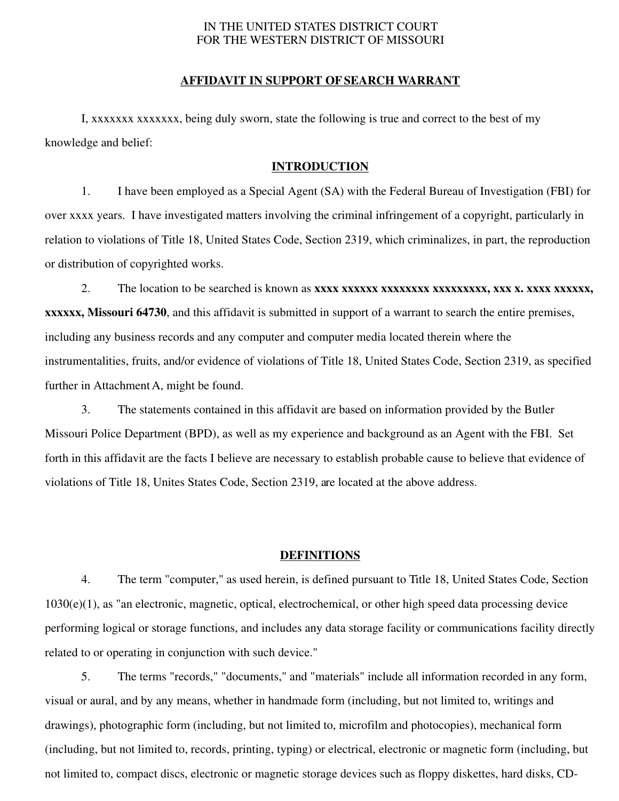### IN THE UNITED STATES DISTRICT COURT FOR THE WESTERN DISTRICT OF MISSOURI

#### **AFFIDAVIT IN SUPPORT OF SEARCH WARRANT**

I, xxxxxxx xxxxxxx, being duly sworn, state the following is true and correct to the best of my knowledge and belief:

### **INTRODUCTION**

1. I have been employed as a Special Agent (SA) with the Federal Bureau of Investigation (FBI) for over xxxx years. I have investigated matters involving the criminal infringement of a copyright, particularly in relation to violations of Title 18, United States Code, Section 2319, which criminalizes, in part, the reproduction or distribution of copyrighted works.

2. The location to be searched is known as **xxxx xxxxxx xxxxxxxx xxxxxxxxx, xxx x. xxxx xxxxxx, xxxxxx, Missouri 64730**, and this affidavit is submitted in support of a warrant to search the entire premises, including any business records and any computer and computer media located therein where the instrumentalities, fruits, and/or evidence of violations of Title 18, United States Code, Section 2319, as specified further in Attachment A, might be found.

3. The statements contained in this affidavit are based on information provided by the Butler Missouri Police Department (BPD), as well as my experience and background as an Agent with the FBI. Set forth in this affidavit are the facts I believe are necessary to establish probable cause to believe that evidence of violations of Title 18, Unites States Code, Section 2319, are located at the above address.

#### **DEFINITIONS**

4. The term "computer," as used herein, is defined pursuant to Title 18, United States Code, Section 1030(e)(1), as "an electronic, magnetic, optical, electrochemical, or other high speed data processing device performing logical or storage functions, and includes any data storage facility or communications facility directly related to or operating in conjunction with such device."

5. The terms "records," "documents," and "materials" include all information recorded in any form, visual or aural, and by any means, whether in handmade form (including, but not limited to, writings and drawings), photographic form (including, but not limited to, microfilm and photocopies), mechanical form (including, but not limited to, records, printing, typing) or electrical, electronic or magnetic form (including, but not limited to, compact discs, electronic or magnetic storage devices such as floppy diskettes, hard disks, CD-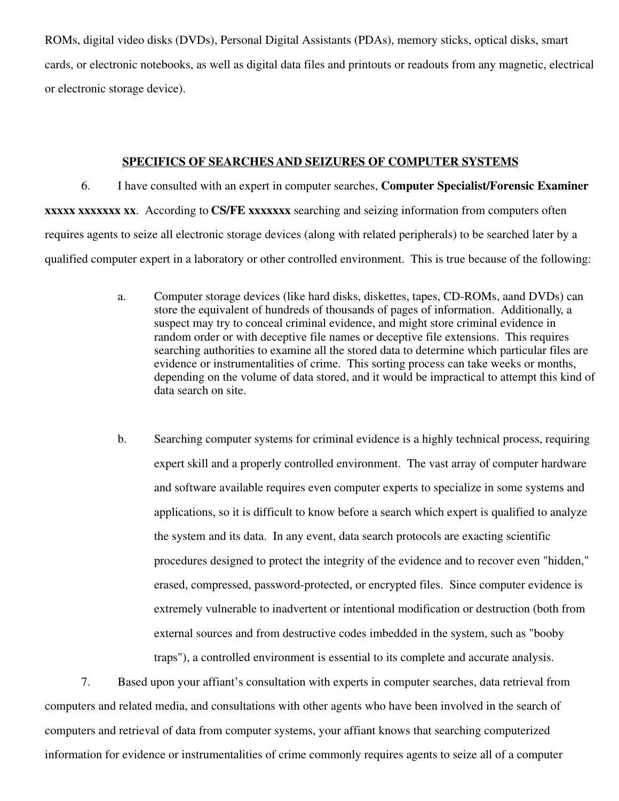ROMs, digital video disks (DVDs), Personal Digital Assistants (PDAs), memory sticks, optical disks, smart cards, or electronic notebooks, as well as digital data files and printouts or readouts from any magnetic, electrical or electronic storage device).

### **SPECIFICS OF SEARCHES AND SEIZURES OF COMPUTER SYSTEMS**

6. I have consulted with an expert in computer searches, **Computer Specialist/Forensic Examiner xxxxx xxxxxxx xx**. According to **CS/FE xxxxxxx** searching and seizing information from computers often requires agents to seize all electronic storage devices (along with related peripherals) to be searched later by a qualified computer expert in a laboratory or other controlled environment. This is true because of the following:

- a. Computer storage devices (like hard disks, diskettes, tapes, CD-ROMs, aand DVDs) can store the equivalent of hundreds of thousands of pages of information. Additionally, a suspect may try to conceal criminal evidence, and might store criminal evidence in random order or with deceptive file names or deceptive file extensions. This requires searching authorities to examine all the stored data to determine which particular files are evidence or instrumentalities of crime. This sorting process can take weeks or months, depending on the volume of data stored, and it would be impractical to attempt this kind of data search on site.
- b. Searching computer systems for criminal evidence is a highly technical process, requiring expert skill and a properly controlled environment. The vast array of computer hardware and software available requires even computer experts to specialize in some systems and applications, so it is difficult to know before a search which expert is qualified to analyze the system and its data. In any event, data search protocols are exacting scientific procedures designed to protect the integrity of the evidence and to recover even "hidden," erased, compressed, password-protected, or encrypted files. Since computer evidence is extremely vulnerable to inadvertent or intentional modification or destruction (both from external sources and from destructive codes imbedded in the system, such as "booby traps"), a controlled environment is essential to its complete and accurate analysis.

7. Based upon your affiant's consultation with experts in computer searches, data retrieval from computers and related media, and consultations with other agents who have been involved in the search of computers and retrieval of data from computer systems, your affiant knows that searching computerized information for evidence or instrumentalities of crime commonly requires agents to seize all of a computer